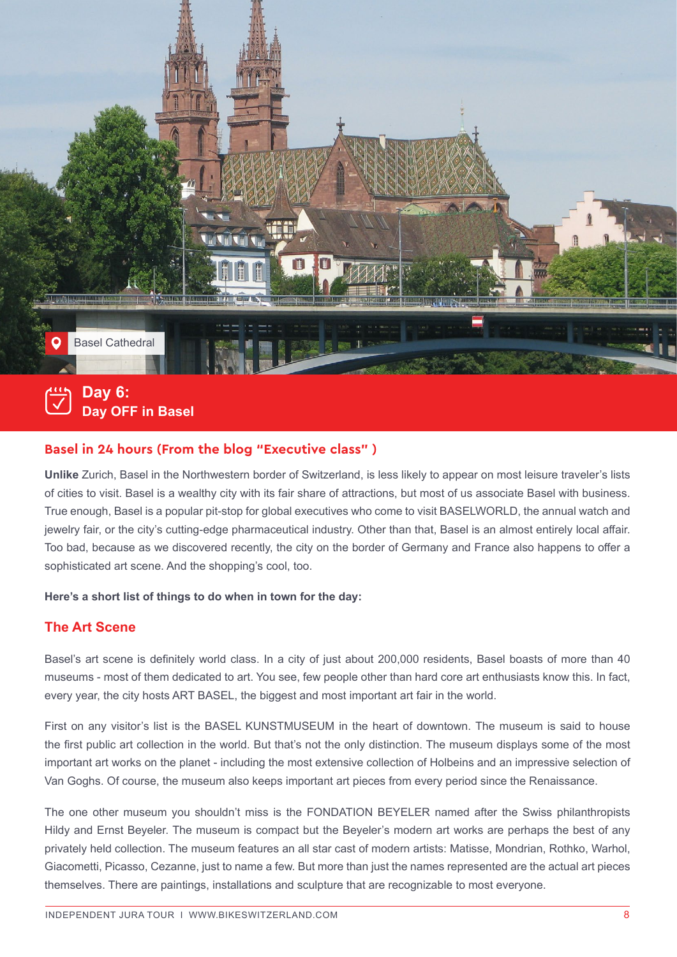

**Day OFF in Basel**

# **Basel in 24 hours (From the blog "Executive class" )**

**Unlike** Zurich, Basel in the Northwestern border of Switzerland, is less likely to appear on most leisure traveler's lists of cities to visit. Basel is a wealthy city with its fair share of attractions, but most of us associate Basel with business. True enough, Basel is a popular pit-stop for global executives who come to visit BASELWORLD, the annual watch and jewelry fair, or the city's cutting-edge pharmaceutical industry. Other than that, Basel is an almost entirely local affair. Too bad, because as we discovered recently, the city on the border of Germany and France also happens to offer a sophisticated art scene. And the shopping's cool, too.

## **Here's a short list of things to do when in town for the day:**

# **The Art Scene**

Basel's art scene is definitely world class. In a city of just about 200,000 residents, Basel boasts of more than 40 museums - most of them dedicated to art. You see, few people other than hard core art enthusiasts know this. In fact, every year, the city hosts ART BASEL, the biggest and most important art fair in the world.

First on any visitor's list is the BASEL KUNSTMUSEUM in the heart of downtown. The museum is said to house the first public art collection in the world. But that's not the only distinction. The museum displays some of the most important art works on the planet - including the most extensive collection of Holbeins and an impressive selection of Van Goghs. Of course, the museum also keeps important art pieces from every period since the Renaissance.

The one other museum you shouldn't miss is the FONDATION BEYELER named after the Swiss philanthropists Hildy and Ernst Beyeler. The museum is compact but the Beyeler's modern art works are perhaps the best of any privately held collection. The museum features an all star cast of modern artists: Matisse, Mondrian, Rothko, Warhol, Giacometti, Picasso, Cezanne, just to name a few. But more than just the names represented are the actual art pieces themselves. There are paintings, installations and sculpture that are recognizable to most everyone.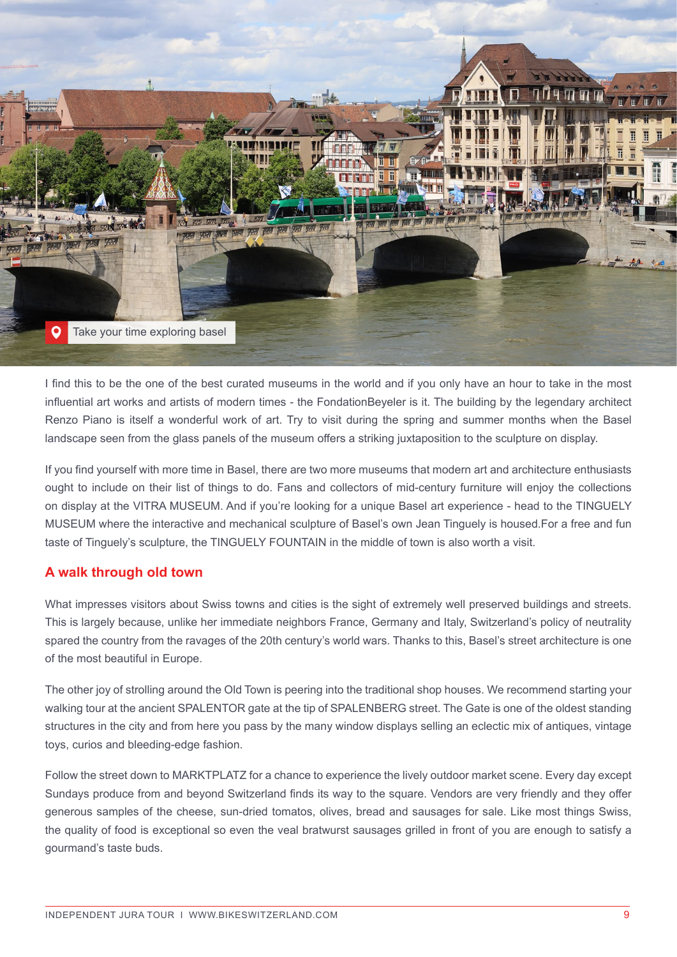

I find this to be the one of the best curated museums in the world and if you only have an hour to take in the most influential art works and artists of modern times - the FondationBeyeler is it. The building by the legendary architect Renzo Piano is itself a wonderful work of art. Try to visit during the spring and summer months when the Basel landscape seen from the glass panels of the museum offers a striking juxtaposition to the sculpture on display.

If you find yourself with more time in Basel, there are two more museums that modern art and architecture enthusiasts ought to include on their list of things to do. Fans and collectors of mid-century furniture will enjoy the collections on display at the VITRA MUSEUM. And if you're looking for a unique Basel art experience - head to the TINGUELY MUSEUM where the interactive and mechanical sculpture of Basel's own Jean Tinguely is housed.For a free and fun taste of Tinguely's sculpture, the TINGUELY FOUNTAIN in the middle of town is also worth a visit.

# **A walk through old town**

What impresses visitors about Swiss towns and cities is the sight of extremely well preserved buildings and streets. This is largely because, unlike her immediate neighbors France, Germany and Italy, Switzerland's policy of neutrality spared the country from the ravages of the 20th century's world wars. Thanks to this, Basel's street architecture is one of the most beautiful in Europe.

The other joy of strolling around the Old Town is peering into the traditional shop houses. We recommend starting your walking tour at the ancient SPALENTOR gate at the tip of SPALENBERG street. The Gate is one of the oldest standing structures in the city and from here you pass by the many window displays selling an eclectic mix of antiques, vintage toys, curios and bleeding-edge fashion.

Follow the street down to MARKTPLATZ for a chance to experience the lively outdoor market scene. Every day except Sundays produce from and beyond Switzerland finds its way to the square. Vendors are very friendly and they offer generous samples of the cheese, sun-dried tomatos, olives, bread and sausages for sale. Like most things Swiss, the quality of food is exceptional so even the veal bratwurst sausages grilled in front of you are enough to satisfy a gourmand's taste buds.